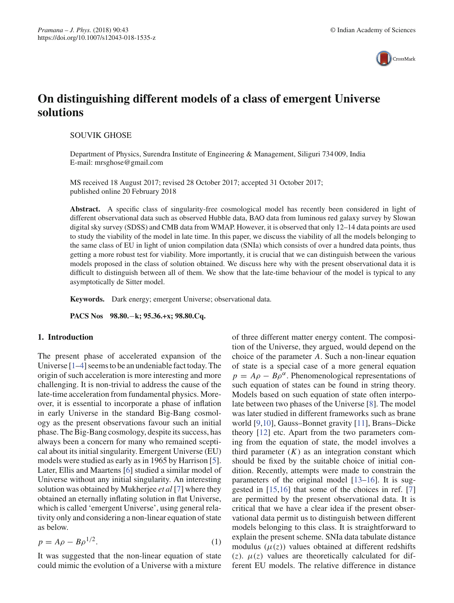

# **On distinguishing different models of a class of emergent Universe solutions**

SOUVIK GHOSE

Department of Physics, Surendra Institute of Engineering & Management, Siliguri 734 009, India E-mail: mrsghose@gmail.com

MS received 18 August 2017; revised 28 October 2017; accepted 31 October 2017; published online 20 February 2018

Abstract. A specific class of singularity-free cosmological model has recently been considered in light of different observational data such as observed Hubble data, BAO data from luminous red galaxy survey by Slowan digital sky survey (SDSS) and CMB data from WMAP. However, it is observed that only 12–14 data points are used to study the viability of the model in late time. In this paper, we discuss the viability of all the models belonging to the same class of EU in light of union compilation data (SNIa) which consists of over a hundred data points, thus getting a more robust test for viability. More importantly, it is crucial that we can distinguish between the various models proposed in the class of solution obtained. We discuss here why with the present observational data it is difficult to distinguish between all of them. We show that the late-time behaviour of the model is typical to any asymptotically de Sitter model.

**Keywords.** Dark energy; emergent Universe; observational data.

**PACS Nos 98.80.**−**k; 95.36.+x; 98.80.Cq.**

### **1. Introduction**

The present phase of accelerated expansion of the Universe [1–4] seems to be an undeniable fact today. The origin of such acceleration is more interesting and more challenging. It is non-trivial to address the cause of the late-time acceleration from fundamental physics. Moreover, it is essential to incorporate a phase of inflation in early Universe in the standard Big-Bang cosmology as the present observations favour such an initial phase. The Big-Bang cosmology, despite its success, has always been a concern for many who remained sceptical about its initial singularity. Emergent Universe (EU) models were studied as early as in 1965 by Harrison [5]. Later, Ellis and Maartens [6] studied a similar model of Universe without any initial singularity. An interesting solution was obtained by Mukherjee *et al* [7] where they obtained an eternally inflating solution in flat Universe, which is called 'emergent Universe', using general relativity only and considering a non-linear equation of state as below.

$$
p = A\rho - B\rho^{1/2}.
$$
 (1)

It was suggested that the non-linear equation of state could mimic the evolution of a Universe with a mixture of three different matter energy content. The composition of the Universe, they argued, would depend on the choice of the parameter *A*. Such a non-linear equation of state is a special case of a more general equation  $p = A\rho - B\rho^{\alpha}$ . Phenomenological representations of such equation of states can be found in string theory. Models based on such equation of state often interpolate between two phases of the Universe [8]. The model was later studied in different frameworks such as brane world [9,10], Gauss–Bonnet gravity [11], Brans–Dicke theory [12] etc. Apart from the two parameters coming from the equation of state, the model involves a third parameter  $(K)$  as an integration constant which should be fixed by the suitable choice of initial condition. Recently, attempts were made to constrain the parameters of the original model [13–16]. It is suggested in [15,16] that some of the choices in ref. [7] are permitted by the present observational data. It is critical that we have a clear idea if the present observational data permit us to distinguish between different models belonging to this class. It is straightforward to explain the present scheme. SNIa data tabulate distance modulus  $(\mu(z))$  values obtained at different redshifts (*z*).  $\mu(z)$  values are theoretically calculated for different EU models. The relative difference in distance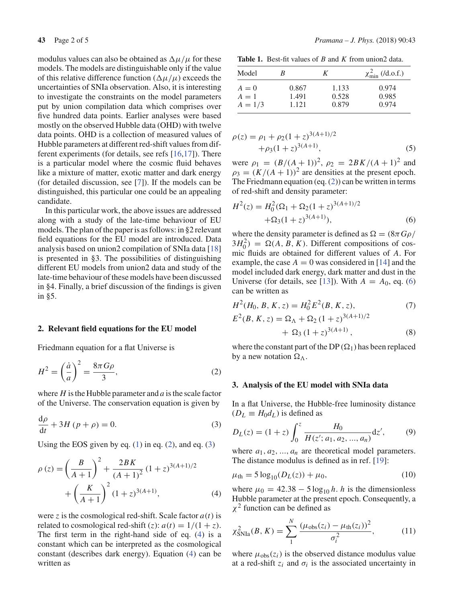modulus values can also be obtained as  $\Delta \mu / \mu$  for these models. The models are distinguishable only if the value of this relative difference function  $(\Delta \mu / \mu)$  exceeds the uncertainties of SNIa observation. Also, it is interesting to investigate the constraints on the model parameters put by union compilation data which comprises over five hundred data points. Earlier analyses were based mostly on the observed Hubble data (OHD) with twelve data points. OHD is a collection of measured values of Hubble parameters at different red-shift values from different experiments (for details, see refs [16,17]). There is a particular model where the cosmic fluid behaves like a mixture of matter, exotic matter and dark energy (for detailed discussion, see [7]). If the models can be distinguished, this particular one could be an appealing candidate.

In this particular work, the above issues are addressed along with a study of the late-time behaviour of EU models. The plan of the paper is as follows: in §2 relevant field equations for the EU model are introduced. Data analysis based on union2 compilation of SNIa data [18] is presented in §3. The possibilities of distinguishing different EU models from union2 data and study of the late-time behaviour of these models have been discussed in §4. Finally, a brief discussion of the findings is given in §5.

#### **2. Relevant field equations for the EU model**

Friedmann equation for a flat Universe is

$$
H^2 = \left(\frac{\dot{a}}{a}\right)^2 = \frac{8\pi G\rho}{3},\tag{2}
$$

where *H* is the Hubble parameter and *a* is the scale factor of the Universe. The conservation equation is given by

$$
\frac{\mathrm{d}\rho}{\mathrm{d}t} + 3H\left(p + \rho\right) = 0.\tag{3}
$$

Using the EOS given by eq.  $(1)$  in eq.  $(2)$ , and eq.  $(3)$ 

$$
\rho(z) = \left(\frac{B}{A+1}\right)^2 + \frac{2BK}{(A+1)^2} (1+z)^{3(A+1)/2} + \left(\frac{K}{A+1}\right)^2 (1+z)^{3(A+1)},
$$
\n(4)

were *z* is the cosmological red-shift. Scale factor  $a(t)$  is related to cosmological red-shift (*z*):  $a(t) = 1/(1 + z)$ . The first term in the right-hand side of eq. (4) is a constant which can be interpreted as the cosmological constant (describes dark energy). Equation (4) can be written as

**Table 1.** Best-fit values of *B* and *K* from union2 data.

| Model     | к     | K     | $\chi^2_{\rm min}$ (/d.o.f.) |
|-----------|-------|-------|------------------------------|
| $A=0$     | 0.867 | 1.133 | 0.974                        |
| $A=1$     | 1.491 | 0.528 | 0.985                        |
| $A = 1/3$ | 1.121 | 0.879 | 0.974                        |

$$
\rho(z) = \rho_1 + \rho_2 (1+z)^{3(A+1)/2} \n+ \rho_3 (1+z)^{3(A+1)},
$$
\n(5)

were  $\rho_1 = (B/(A+1))^2$ ,  $\rho_2 = 2B K/(A+1)^2$  and  $\rho_3 = (K/(A+1))^2$  are densities at the present epoch. The Friedmann equation (eq. (2)) can be written in terms of red-shift and density parameter:

$$
H^{2}(z) = H_{0}^{2}(\Omega_{1} + \Omega_{2}(1+z)^{3(A+1)/2} + \Omega_{3}(1+z)^{3(A+1)}),
$$
 (6)

where the density parameter is defined as  $\Omega = (8\pi G \rho)$  $3H_0^2$ ) =  $\Omega(A, B, K)$ . Different compositions of cosmic fluids are obtained for different values of *A*. For example, the case  $A = 0$  was considered in [14] and the model included dark energy, dark matter and dust in the Universe (for details, see [13]). With  $A = A_0$ , eq. (6) can be written as

$$
H^{2}(H_{0}, B, K, z) = H_{0}^{2} E^{2}(B, K, z),
$$
 (7)

$$
E^{2}(B, K, z) = \Omega_{\Lambda} + \Omega_{2} (1 + z)^{3(A+1)/2} + \Omega_{3} (1 + z)^{3(A+1)},
$$
 (8)

where the constant part of the DP  $(\Omega_1)$  has been replaced by a new notation  $\Omega_{\Lambda}$ .

#### **3. Analysis of the EU model with SNIa data**

In a flat Universe, the Hubble-free luminosity distance  $(D_L \equiv H_0 d_L)$  is defined as

$$
D_L(z) = (1+z) \int_0^z \frac{H_0}{H(z'; a_1, a_2, ..., a_n)} dz',
$$
 (9)

where  $a_1, a_2, ..., a_n$  are theoretical model parameters. The distance modulus is defined as in ref. [19]:

$$
\mu_{\rm th} = 5 \log_{10}(D_L(z)) + \mu_0, \tag{10}
$$

where  $\mu_0 = 42.38 - 5 \log_{10} h$ . *h* is the dimensionless Hubble parameter at the present epoch. Consequently, a  $\chi^2$  function can be defined as

$$
\chi_{\text{SNIa}}^2(B, K) = \sum_{1}^{N} \frac{(\mu_{\text{obs}}(z_i) - \mu_{\text{th}}(z_i))^2}{\sigma_i^2},
$$
 (11)

where  $\mu_{obs}(z_i)$  is the observed distance modulus value at a red-shift  $z_i$  and  $\sigma_i$  is the associated uncertainty in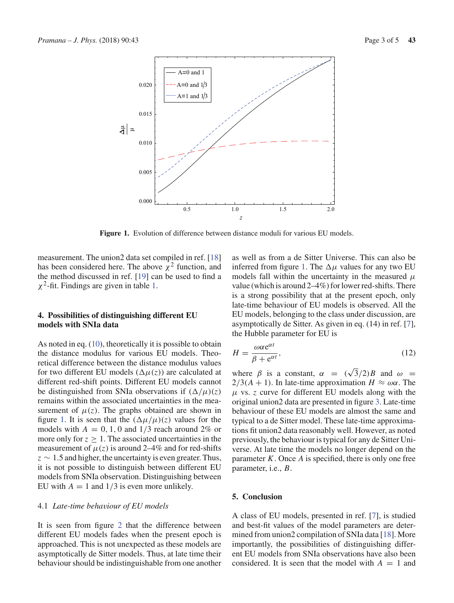

**Figure 1.** Evolution of difference between distance moduli for various EU models.

measurement. The union2 data set compiled in ref. [18] has been considered here. The above  $\chi^2$  function, and the method discussed in ref. [19] can be used to find a  $\chi^2$ -fit. Findings are given in table 1.

# **4. Possibilities of distinguishing different EU models with SNIa data**

As noted in eq. (10), theoretically it is possible to obtain the distance modulus for various EU models. Theoretical difference between the distance modulus values for two different EU models  $(\Delta \mu(z))$  are calculated at different red-shift points. Different EU models cannot be distinguished from SNIa observations if  $(\Delta/\mu)(z)$ remains within the associated uncertainties in the measurement of  $\mu(z)$ . The graphs obtained are shown in figure 1. It is seen that the  $(\Delta \mu / \mu)(z)$  values for the models with  $A = 0, 1, 0$  and  $1/3$  reach around 2% or more only for  $z \geq 1$ . The associated uncertainties in the measurement of  $\mu(z)$  is around 2–4% and for red-shifts  $z \sim 1.5$  and higher, the uncertainty is even greater. Thus, it is not possible to distinguish between different EU models from SNIa observation. Distinguishing between EU with  $A = 1$  and  $1/3$  is even more unlikely.

# 4.1 *Late-time behaviour of EU models*

It is seen from figure 2 that the difference between different EU models fades when the present epoch is approached. This is not unexpected as these models are asymptotically de Sitter models. Thus, at late time their behaviour should be indistinguishable from one another as well as from a de Sitter Universe. This can also be inferred from figure 1. The  $\Delta \mu$  values for any two EU models fall within the uncertainty in the measured  $\mu$ value (which is around 2–4%) for lower red-shifts. There is a strong possibility that at the present epoch, only late-time behaviour of EU models is observed. All the EU models, belonging to the class under discussion, are asymptotically de Sitter. As given in eq. (14) in ref. [7], the Hubble parameter for EU is

$$
H = \frac{\omega \alpha e^{\alpha t}}{\beta + e^{\alpha t}},\tag{12}
$$

where  $\beta$  is a constant,  $\alpha = (\sqrt{3}/2)B$  and  $\omega =$  $2/3(A + 1)$ . In late-time approximation  $H \approx \omega \alpha$ . The  $\mu$  vs. *z* curve for different EU models along with the original union2 data are presented in figure 3. Late-time behaviour of these EU models are almost the same and typical to a de Sitter model. These late-time approximations fit union2 data reasonably well. However, as noted previously, the behaviour is typical for any de Sitter Universe. At late time the models no longer depend on the parameter *K*. Once *A* is specified, there is only one free parameter, i.e., *B*.

# **5. Conclusion**

A class of EU models, presented in ref. [7], is studied and best-fit values of the model parameters are determined from union2 compilation of SNIa data [18]. More importantly, the possibilities of distinguishing different EU models from SNIa observations have also been considered. It is seen that the model with  $A = 1$  and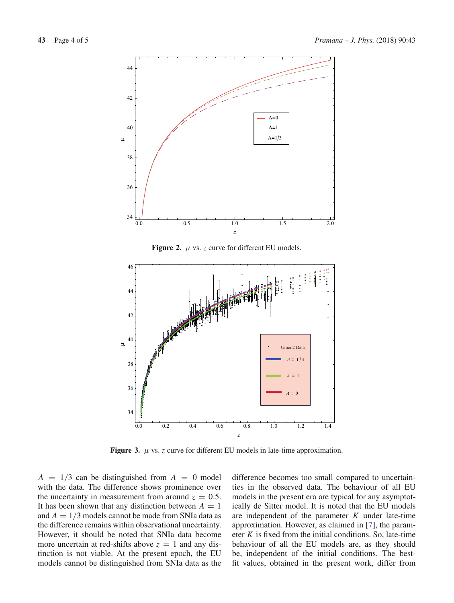

**Figure 2.**  $\mu$  vs. *z* curve for different EU models.



**Figure 3.**  $\mu$  vs. *z* curve for different EU models in late-time approximation.

 $A = 1/3$  can be distinguished from  $A = 0$  model with the data. The difference shows prominence over the uncertainty in measurement from around  $z = 0.5$ . It has been shown that any distinction between  $A = 1$ and  $A = 1/3$  models cannot be made from SNIa data as the difference remains within observational uncertainty. However, it should be noted that SNIa data become more uncertain at red-shifts above  $z = 1$  and any distinction is not viable. At the present epoch, the EU models cannot be distinguished from SNIa data as the

difference becomes too small compared to uncertainties in the observed data. The behaviour of all EU models in the present era are typical for any asymptotically de Sitter model. It is noted that the EU models are independent of the parameter *K* under late-time approximation. However, as claimed in [7], the parameter *K* is fixed from the initial conditions. So, late-time behaviour of all the EU models are, as they should be, independent of the initial conditions. The bestfit values, obtained in the present work, differ from